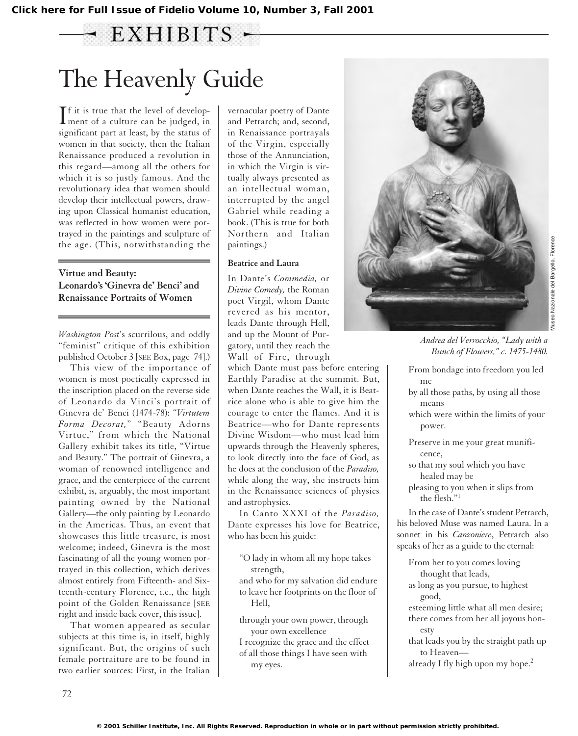## $-$  EXHIBITS  $-$

# The Heavenly Guide

If it is true that the level of develop-<br>ment of a culture can be judged, in  $\mathbb T$  f it is true that the level of developsignificant part at least, by the status of women in that society, then the Italian Renaissance produced a revolution in this regard—among all the others for which it is so justly famous. And the revolutionary idea that women should develop their intellectual powers, drawing upon Classical humanist education, was reflected in how women were portrayed in the paintings and sculpture of the age. (This, notwithstanding the

#### **Virtue and Beauty: Leonardo's 'Ginevra de' Benci' and Renaissance Portraits of Women**

*Washington Post*'s scurrilous, and oddly "feminist" critique of this exhibition published October 3 [SEE Box, page 74].)

This view of the importance of women is most poetically expressed in the inscription placed on the reverse side of Leonardo da Vinci's portrait of Ginevra de' Benci (1474-78): "*Virtutem Forma Decorat,*" "Beauty Adorns Virtue," from which the National Gallery exhibit takes its title, "Virtue and Beauty." The portrait of Ginevra, a woman of renowned intelligence and grace, and the centerpiece of the current exhibit, is, arguably, the most important painting owned by the National Gallery—the only painting by Leonardo in the Americas. Thus, an event that showcases this little treasure, is most welcome; indeed, Ginevra is the most fascinating of all the young women portrayed in this collection, which derives almost entirely from Fifteenth- and Sixteenth-century Florence, i.e., the high point of the Golden Renaissance [SEE right and inside back cover, this issue].

That women appeared as secular subjects at this time is, in itself, highly significant. But, the origins of such female portraiture are to be found in two earlier sources: First, in the Italian

vernacular poetry of Dante and Petrarch; and, second, in Renaissance portrayals of the Virgin, especially those of the Annunciation, in which the Virgin is virtually always presented as an intellectual woman, interrupted by the angel Gabriel while reading a book. (This is true for both Northern and Italian paintings.)

#### **Beatrice and Laura**

In Dante's *Commedia,* or *Divine Comedy,* the Roman poet Virgil, whom Dante revered as his mentor, leads Dante through Hell, and up the Mount of Purgatory, until they reach the Wall of Fire, through

which Dante must pass before entering Earthly Paradise at the summit. But, when Dante reaches the Wall, it is Beatrice alone who is able to give him the courage to enter the flames. And it is Beatrice—who for Dante represents Divine Wisdom—who must lead him upwards through the Heavenly spheres, to look directly into the face of God, as he does at the conclusion of the *Paradiso,* while along the way, she instructs him in the Renaissance sciences of physics and astrophysics.

In Canto XXXI of the *Paradiso,* Dante expresses his love for Beatrice, who has been his guide:

- "O lady in whom all my hope takes strength,
- and who for my salvation did endure to leave her footprints on the floor of Hell,
- through your own power, through your own excellence
- I recognize the grace and the effect of all those things I have seen with my eyes.



*Andrea del Verrocchio, "Lady with a Bunch of Flowers," c. 1475-1480.*

- From bondage into freedom you led me
- by all those paths, by using all those means
- which were within the limits of your power.
- Preserve in me your great munificence,
- so that my soul which you have healed may be
- pleasing to you when it slips from the flesh."1

In the case of Dante's student Petrarch, his beloved Muse was named Laura. In a sonnet in his *Canzoniere*, Petrarch also speaks of her as a guide to the eternal:

From her to you comes loving thought that leads,

- as long as you pursue, to highest good,
- esteeming little what all men desire; there comes from her all joyous honesty
- that leads you by the straight path up to Heaven—
- already I fly high upon my hope.<sup>2</sup>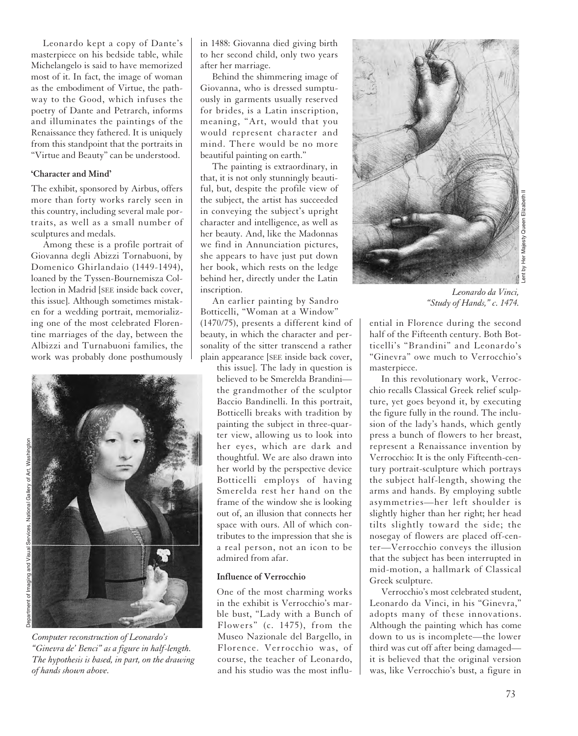Leonardo kept a copy of Dante's masterpiece on his bedside table, while Michelangelo is said to have memorized most of it. In fact, the image of woman as the embodiment of Virtue, the pathway to the Good, which infuses the poetry of Dante and Petrarch, informs and illuminates the paintings of the Renaissance they fathered. It is uniquely from this standpoint that the portraits in "Virtue and Beauty" can be understood.

#### **'Character and Mind'**

The exhibit, sponsored by Airbus, offers more than forty works rarely seen in this country, including several male portraits, as well as a small number of sculptures and medals.

Among these is a profile portrait of Giovanna degli Abizzi Tornabuoni, by Domenico Ghirlandaio (1449-1494), loaned by the Tyssen-Bournemisza Collection in Madrid [SEE inside back cover, this issue]. Although sometimes mistaken for a wedding portrait, memorializing one of the most celebrated Florentine marriages of the day, between the Albizzi and Turnabuoni families, the work was probably done posthumously



*Computer reconstruction of Leonardo's "Ginevra de' Benci" as a figure in half-length. The hypothesis is based, in part, on the drawing of hands shown above.*

in 1488: Giovanna died giving birth to her second child, only two years after her marriage.

Behind the shimmering image of Giovanna, who is dressed sumptuously in garments usually reserved for brides, is a Latin inscription, meaning, "Art, would that you would represent character and mind. There would be no more beautiful painting on earth."

The painting is extraordinary, in that, it is not only stunningly beautiful, but, despite the profile view of the subject, the artist has succeeded in conveying the subject's upright character and intelligence, as well as her beauty. And, like the Madonnas we find in Annunciation pictures, she appears to have just put down her book, which rests on the ledge behind her, directly under the Latin inscription.

An earlier painting by Sandro Botticelli, "Woman at a Window" (1470/75), presents a different kind of beauty, in which the character and personality of the sitter transcend a rather plain appearance [SEE inside back cover,

this issue]. The lady in question is believed to be Smerelda Brandini the grandmother of the sculptor Baccio Bandinelli. In this portrait, Botticelli breaks with tradition by painting the subject in three-quarter view, allowing us to look into her eyes, which are dark and thoughtful. We are also drawn into her world by the perspective device Botticelli employs of having Smerelda rest her hand on the frame of the window she is looking out of, an illusion that connects her space with ours. All of which contributes to the impression that she is a real person, not an icon to be admired from afar.

#### **Influence of Verrocchio**

One of the most charming works in the exhibit is Verrocchio's marble bust, "Lady with a Bunch of Flowers" (c. 1475), from the Museo Nazionale del Bargello, in Florence. Verrocchio was, of course, the teacher of Leonardo, and his studio was the most influ-



Lent by Her Majesty Queen Elizabeth II Her Majesty

*Leonardo da Vinci, "Study of Hands," c. 1474.*

ential in Florence during the second half of the Fifteenth century. Both Botticelli's "Brandini" and Leonardo's "Ginevra" owe much to Verrocchio's masterpiece.

In this revolutionary work, Verrocchio recalls Classical Greek relief sculpture, yet goes beyond it, by executing the figure fully in the round. The inclusion of the lady's hands, which gently press a bunch of flowers to her breast, represent a Renaissance invention by Verrocchio: It is the only Fifteenth-century portrait-sculpture which portrays the subject half-length, showing the arms and hands. By employing subtle asymmetries—her left shoulder is slightly higher than her right; her head tilts slightly toward the side; the nosegay of flowers are placed off-center—Verrocchio conveys the illusion that the subject has been interrupted in mid-motion, a hallmark of Classical Greek sculpture.

Verrocchio's most celebrated student, Leonardo da Vinci, in his "Ginevra," adopts many of these innovations. Although the painting which has come down to us is incomplete—the lower third was cut off after being damaged it is believed that the original version was, like Verrocchio's bust, a figure in